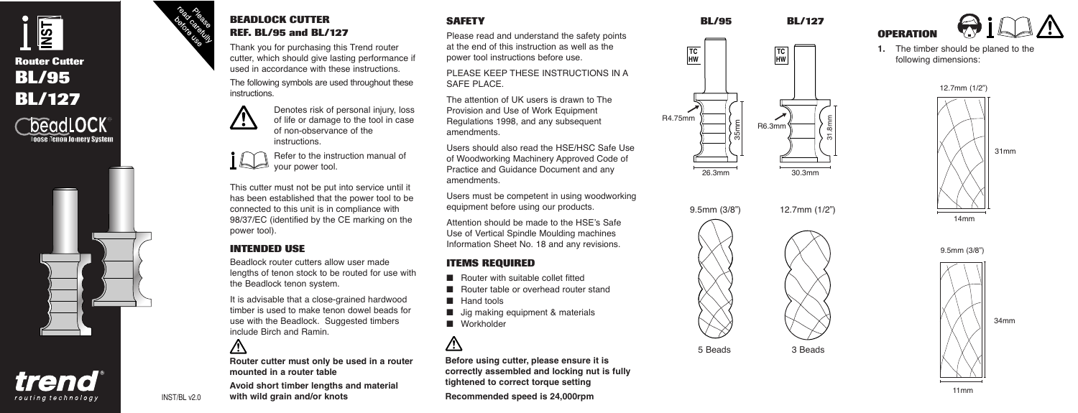

trend routing technology

## **BEADLOCK CUTTER REF. BL/95 and BL/127**

Thank you for purchasing this Trend router cutter, which should give lasting performance if used in accordance with these instructions.

The following symbols are used throughout these instructions.



Denotes risk of personal injury, loss of life or damage to the tool in case of non-observance of the instructions.

Refer to the instruction manual of **I** your power tool.

This cutter must not be put into service until it has been established that the power tool to be connected to this unit is in compliance with 98/37/EC (identified by the CE marking on the power tool).

# **INTENDED USE**

Beadlock router cutters allow user made lengths of tenon stock to be routed for use with the Beadlock tenon system.

It is advisable that a close-grained hardwood timber is used to make tenon dowel beads for use with the Beadlock. Suggested timbers include Birch and Ramin.

# $\bigwedge$

**Router cutter must only be used in a router mounted in a router table**

**Avoid short timber lengths and material with wild grain and/or knots**

#### **SAFETY**

Please read and understand the safety points at the end of this instruction as well as the power tool instructions before use.

PLEASE KEEP THESE INSTRUCTIONS IN A SAFE PLACE.

The attention of UK users is drawn to The Provision and Use of Work Equipment Regulations 1998, and any subsequent amendments.

Users should also read the HSE/HSC Safe Use of Woodworking Machinery Approved Code of Practice and Guidance Document and any amendments.

Users must be competent in using woodworking equipment before using our products.

Attention should be made to the HSE's Safe Use of Vertical Spindle Moulding machines Information Sheet No. 18 and any revisions.

#### **ITEMS REQUIRED**

- Router with suitable collet fitted
- Router table or overhead router stand
- Hand tools
- Jig making equipment & materials
- Workholder

# Λ

**Before using cutter, please ensure it is correctly assembled and locking nut is fully tightened to correct torque setting Recommended speed is 24,000rpm**









**1.** The timber should be planed to the following dimensions:











INST/BL v2.0